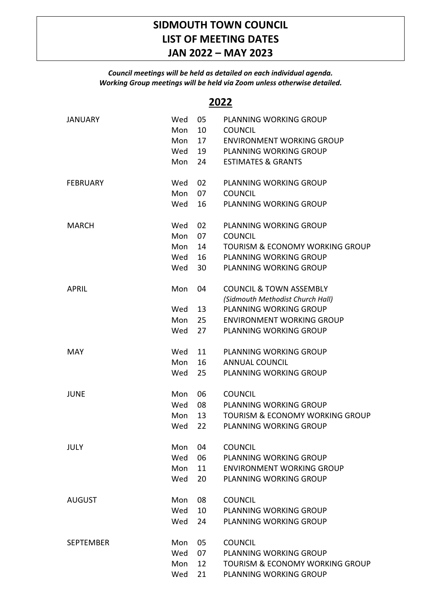## **SIDMOUTH TOWN COUNCIL LIST OF MEETING DATES JAN 2022 – MAY 2023**

## *Council meetings will be held as detailed on each individual agenda. Working Group meetings will be held via Zoom unless otherwise detailed.*

## **2022**

| <b>JANUARY</b>   | Wed<br>Mon | 05<br>10 | PLANNING WORKING GROUP<br><b>COUNCIL</b>   |
|------------------|------------|----------|--------------------------------------------|
|                  | Mon        | 17       | <b>ENVIRONMENT WORKING GROUP</b>           |
|                  | Wed        | 19       | <b>PLANNING WORKING GROUP</b>              |
|                  | Mon        | 24       | <b>ESTIMATES &amp; GRANTS</b>              |
|                  |            |          |                                            |
| <b>FEBRUARY</b>  | Wed        | 02       | PLANNING WORKING GROUP                     |
|                  | Mon        | 07       | <b>COUNCIL</b>                             |
|                  | Wed        | 16       | PLANNING WORKING GROUP                     |
| <b>MARCH</b>     | Wed        | 02       | <b>PLANNING WORKING GROUP</b>              |
|                  | Mon        | 07       | <b>COUNCIL</b>                             |
|                  | Mon        | 14       | <b>TOURISM &amp; ECONOMY WORKING GROUP</b> |
|                  | Wed        | 16       | PLANNING WORKING GROUP                     |
|                  | Wed        | 30       | PLANNING WORKING GROUP                     |
| <b>APRIL</b>     | Mon        | 04       | <b>COUNCIL &amp; TOWN ASSEMBLY</b>         |
|                  |            |          | (Sidmouth Methodist Church Hall)           |
|                  | Wed        | 13       | <b>PLANNING WORKING GROUP</b>              |
|                  | Mon        | 25       | <b>ENVIRONMENT WORKING GROUP</b>           |
|                  | Wed        | 27       | PLANNING WORKING GROUP                     |
| <b>MAY</b>       | Wed        | 11       | PLANNING WORKING GROUP                     |
|                  | Mon        | 16       | <b>ANNUAL COUNCIL</b>                      |
|                  | Wed        | 25       | <b>PLANNING WORKING GROUP</b>              |
| <b>JUNE</b>      | Mon        | 06       | <b>COUNCIL</b>                             |
|                  | Wed        | 08       | PLANNING WORKING GROUP                     |
|                  | Mon        | 13       | <b>TOURISM &amp; ECONOMY WORKING GROUP</b> |
|                  | Wed        | 22       | <b>PLANNING WORKING GROUP</b>              |
| <b>JULY</b>      | Mon        | 04       | <b>COUNCIL</b>                             |
|                  | Wed        | 06       | PLANNING WORKING GROUP                     |
|                  | Mon        | 11       | <b>ENVIRONMENT WORKING GROUP</b>           |
|                  | Wed        | 20       | <b>PLANNING WORKING GROUP</b>              |
| <b>AUGUST</b>    | Mon        | 08       | <b>COUNCIL</b>                             |
|                  | Wed        | 10       | <b>PLANNING WORKING GROUP</b>              |
|                  | Wed        | 24       | PLANNING WORKING GROUP                     |
| <b>SEPTEMBER</b> | Mon        | 05       | <b>COUNCIL</b>                             |
|                  | Wed        | 07       | <b>PLANNING WORKING GROUP</b>              |
|                  | Mon        | 12       | <b>TOURISM &amp; ECONOMY WORKING GROUP</b> |
|                  | Wed        | 21       | PLANNING WORKING GROUP                     |